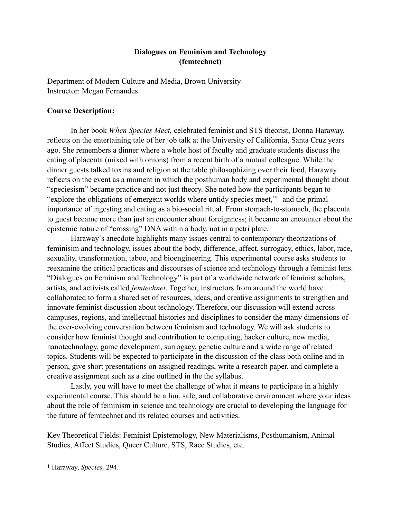## **Dialogues on Feminism and Technology (femtechnet)**

Department of Modern Culture and Media, Brown University Instructor: Megan Fernandes

### **Course Description:**

In her book *When Species Meet,* celebrated feminist and STS theorist, Donna Haraway, reflects on the entertaining tale of her job talk at the University of California, Santa Cruz years ago. She remembers a dinner where a whole host of faculty and graduate students discuss the eating of placenta (mixed with onions) from a recent birth of a mutual colleague. While the dinner guests talked toxins and religion at the table philosophizing over their food, Haraway reflects on the event as a moment in which the posthuman body and experimental thought about "speciesism" became practice and not just theory. She noted how the participants began to "explore the obligations of emergent worlds where untidy species meet,["1](#page-0-0) and the primal importance of ingesting and eating as a bio-social ritual. From stomach-to-stomach, the placenta to guest became more than just an encounter about foreignness; it became an encounter about the epistemic nature of "crossing" DNA within a body, not in a petri plate.

 Haraway's anecdote highlights many issues central to contemporary theorizations of feminisim and technology, issues about the body, difference, affect, surrogacy, ethics, labor, race, sexuality, transformation, taboo, and bioengineering. This experimental course asks students to reexamine the critical practices and discourses of science and technology through a feminist lens. "Dialogues on Feminism and Technology" is part of a worldwide network of feminist scholars, artists, and activists called *femtechnet*. Together, instructors from around the world have collaborated to form a shared set of resources, ideas, and creative assignments to strengthen and innovate feminist discussion about technology. Therefore, our discussion will extend across campuses, regions, and intellectual histories and disciplines to consider the many dimensions of the ever-evolving conversation between feminism and technology. We will ask students to consider how feminist thought and contribution to computing, hacker culture, new media, nanotechnology, game development, surrogacy, genetic culture and a wide range of related topics. Students will be expected to participate in the discussion of the class both online and in person, give short presentations on assigned readings, write a research paper, and complete a creative assignment such as a zine outlined in the the syllabus.

 Lastly, you will have to meet the challenge of what it means to participate in a highly experimental course. This should be a fun, safe, and collaborative environment where your ideas about the role of feminism in science and technology are crucial to developing the language for the future of femtechnet and its related courses and activities.

Key Theoretical Fields: Feminist Epistemology, New Materialisms, Posthumanism, Animal Studies, Affect Studies, Queer Culture, STS, Race Studies, etc.

<span id="page-0-0"></span><sup>1</sup> Haraway, *Species,* 294.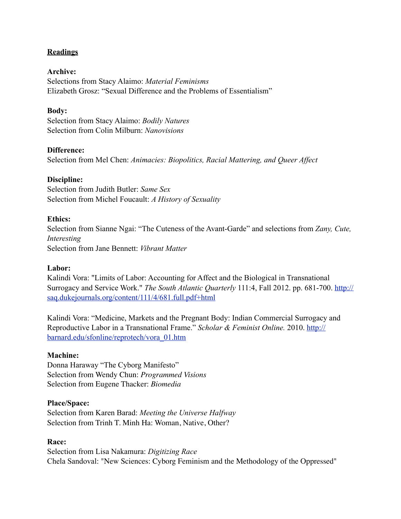# **Readings**

## **Archive:**

Selections from Stacy Alaimo: *Material Feminisms*  Elizabeth Grosz: "Sexual Difference and the Problems of Essentialism"

## **Body:**

Selection from Stacy Alaimo: *Bodily Natures* Selection from Colin Milburn: *Nanovisions*

## **Difference:**

Selection from Mel Chen: *Animacies: Biopolitics, Racial Mattering, and Queer Affect*

### **Discipline:**

Selection from Judith Butler: *Same Sex* Selection from Michel Foucault: *A History of Sexuality* 

### **Ethics:**

Selection from Sianne Ngai: "The Cuteness of the Avant-Garde" and selections from *Zany, Cute, Interesting*  Selection from Jane Bennett: *Vibrant Matter*

#### **Labor:**

Kalindi Vora: "Limits of Labor: Accounting for Affect and the Biological in Transnational Surrogacy and Service Work." *The South Atlantic Quarterly* 111:4, Fall 2012. pp. 681-700. [http://](http://saq.dukejournals.org/content/111/4/681.full.pdf+html) [saq.dukejournals.org/content/111/4/681.full.pdf+html](http://saq.dukejournals.org/content/111/4/681.full.pdf+html)

Kalindi Vora: "Medicine, Markets and the Pregnant Body: Indian Commercial Surrogacy and Reproductive Labor in a Transnational Frame." *Scholar & Feminist Online.* 2010. [http://](http://barnard.edu/sfonline/reprotech/vora_01.htm) [barnard.edu/sfonline/reprotech/vora\\_01.htm](http://barnard.edu/sfonline/reprotech/vora_01.htm)

## **Machine:**

Donna Haraway "The Cyborg Manifesto" Selection from Wendy Chun: *Programmed Visions* Selection from Eugene Thacker: *Biomedia*

#### **Place/Space:**

Selection from Karen Barad: *Meeting the Universe Halfway*  Selection from Trinh T. Minh Ha: Woman, Native, Other?

#### **Race:**

Selection from Lisa Nakamura: *Digitizing Race* Chela Sandoval: "New Sciences: Cyborg Feminism and the Methodology of the Oppressed"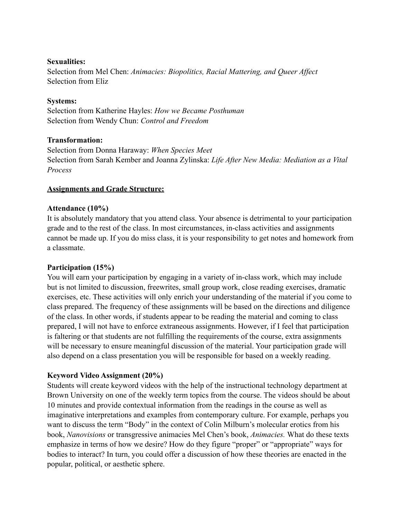## **Sexualities:**

Selection from Mel Chen: *Animacies: Biopolitics, Racial Mattering, and Queer Affect* Selection from Eliz

# **Systems:**

Selection from Katherine Hayles: *How we Became Posthuman* Selection from Wendy Chun: *Control and Freedom*

## **Transformation:**

Selection from Donna Haraway: *When Species Meet* Selection from Sarah Kember and Joanna Zylinska: *Life After New Media: Mediation as a Vital Process* 

# **Assignments and Grade Structure:**

## **Attendance (10%)**

It is absolutely mandatory that you attend class. Your absence is detrimental to your participation grade and to the rest of the class. In most circumstances, in-class activities and assignments cannot be made up. If you do miss class, it is your responsibility to get notes and homework from a classmate.

## **Participation (15%)**

You will earn your participation by engaging in a variety of in-class work, which may include but is not limited to discussion, freewrites, small group work, close reading exercises, dramatic exercises, etc. These activities will only enrich your understanding of the material if you come to class prepared. The frequency of these assignments will be based on the directions and diligence of the class. In other words, if students appear to be reading the material and coming to class prepared, I will not have to enforce extraneous assignments. However, if I feel that participation is faltering or that students are not fulfilling the requirements of the course, extra assignments will be necessary to ensure meaningful discussion of the material. Your participation grade will also depend on a class presentation you will be responsible for based on a weekly reading.

# **Keyword Video Assignment (20%)**

Students will create keyword videos with the help of the instructional technology department at Brown University on one of the weekly term topics from the course. The videos should be about 10 minutes and provide contextual information from the readings in the course as well as imaginative interpretations and examples from contemporary culture. For example, perhaps you want to discuss the term "Body" in the context of Colin Milburn's molecular erotics from his book, *Nanovisions* or transgressive animacies Mel Chen's book, *Animacies.* What do these texts emphasize in terms of how we desire? How do they figure "proper" or "appropriate" ways for bodies to interact? In turn, you could offer a discussion of how these theories are enacted in the popular, political, or aesthetic sphere.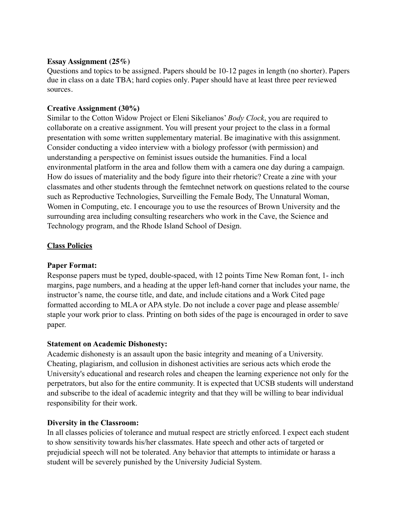## **Essay Assignment (25%)**

Questions and topics to be assigned. Papers should be 10-12 pages in length (no shorter). Papers due in class on a date TBA; hard copies only. Paper should have at least three peer reviewed sources.

# **Creative Assignment (30%)**

Similar to the Cotton Widow Project or Eleni Sikelianos' *Body Clock*, you are required to collaborate on a creative assignment. You will present your project to the class in a formal presentation with some written supplementary material. Be imaginative with this assignment. Consider conducting a video interview with a biology professor (with permission) and understanding a perspective on feminist issues outside the humanities. Find a local environmental platform in the area and follow them with a camera one day during a campaign. How do issues of materiality and the body figure into their rhetoric? Create a zine with your classmates and other students through the femtechnet network on questions related to the course such as Reproductive Technologies, Surveilling the Female Body, The Unnatural Woman, Women in Computing, etc. I encourage you to use the resources of Brown University and the surrounding area including consulting researchers who work in the Cave, the Science and Technology program, and the Rhode Island School of Design.

# **Class Policies**

# **Paper Format:**

Response papers must be typed, double-spaced, with 12 points Time New Roman font, 1- inch margins, page numbers, and a heading at the upper left-hand corner that includes your name, the instructor's name, the course title, and date, and include citations and a Work Cited page formatted according to MLA or APA style. Do not include a cover page and please assemble/ staple your work prior to class. Printing on both sides of the page is encouraged in order to save paper.

# **Statement on Academic Dishonesty:**

Academic dishonesty is an assault upon the basic integrity and meaning of a University. Cheating, plagiarism, and collusion in dishonest activities are serious acts which erode the University's educational and research roles and cheapen the learning experience not only for the perpetrators, but also for the entire community. It is expected that UCSB students will understand and subscribe to the ideal of academic integrity and that they will be willing to bear individual responsibility for their work.

# **Diversity in the Classroom:**

In all classes policies of tolerance and mutual respect are strictly enforced. I expect each student to show sensitivity towards his/her classmates. Hate speech and other acts of targeted or prejudicial speech will not be tolerated. Any behavior that attempts to intimidate or harass a student will be severely punished by the University Judicial System.